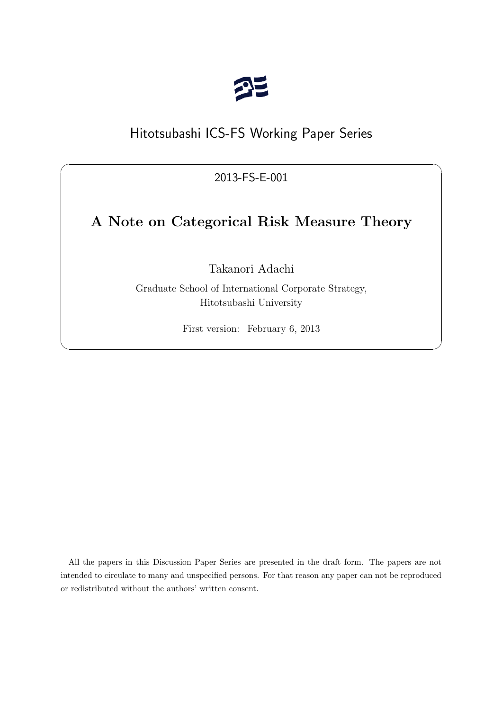

# Hitotsubashi ICS-FS Working Paper Series

2013-FS-E-001

 $\sqrt{2\pi}$ 

# **A Note on Categorical Risk Measure Theory**

Takanori Adachi

Graduate School of International Corporate Strategy, Hitotsubashi University

First version: February 6, 2013

✒ ✑

All the papers in this Discussion Paper Series are presented in the draft form. The papers are not intended to circulate to many and unspecified persons. For that reason any paper can not be reproduced or redistributed without the authors' written consent.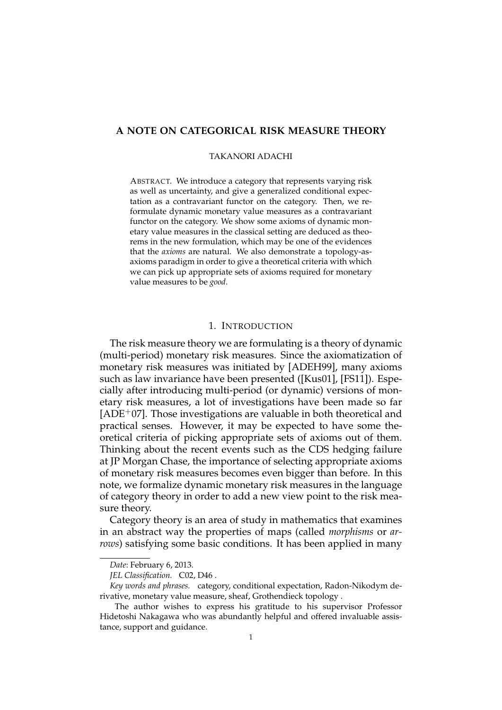# **A NOTE ON CATEGORICAL RISK MEASURE THEORY**

# TAKANORI ADACHI

ABSTRACT. We introduce a category that represents varying risk as well as uncertainty, and give a generalized conditional expectation as a contravariant functor on the category. Then, we reformulate dynamic monetary value measures as a contravariant functor on the category. We show some axioms of dynamic monetary value measures in the classical setting are deduced as theorems in the new formulation, which may be one of the evidences that the *axioms* are natural. We also demonstrate a topology-asaxioms paradigm in order to give a theoretical criteria with which we can pick up appropriate sets of axioms required for monetary value measures to be *good*.

# 1. INTRODUCTION

The risk measure theory we are formulating is a theory of dynamic (multi-period) monetary risk measures. Since the axiomatization of monetary risk measures was initiated by [ADEH99], many axioms such as law invariance have been presented ([Kus01], [FS11]). Especially after introducing multi-period (or dynamic) versions of monetary risk measures, a lot of investigations have been made so far  $[ADE<sup>+</sup>07]$ . Those investigations are valuable in both theoretical and practical senses. However, it may be expected to have some theoretical criteria of picking appropriate sets of axioms out of them. Thinking about the recent events such as the CDS hedging failure at JP Morgan Chase, the importance of selecting appropriate axioms of monetary risk measures becomes even bigger than before. In this note, we formalize dynamic monetary risk measures in the language of category theory in order to add a new view point to the risk measure theory.

Category theory is an area of study in mathematics that examines in an abstract way the properties of maps (called *morphisms* or *arrows*) satisfying some basic conditions. It has been applied in many

*Date*: February 6, 2013.

*JEL Classification.* C02, D46 .

*Key words and phrases.* category, conditional expectation, Radon-Nikodym derivative, monetary value measure, sheaf, Grothendieck topology .

The author wishes to express his gratitude to his supervisor Professor Hidetoshi Nakagawa who was abundantly helpful and offered invaluable assistance, support and guidance.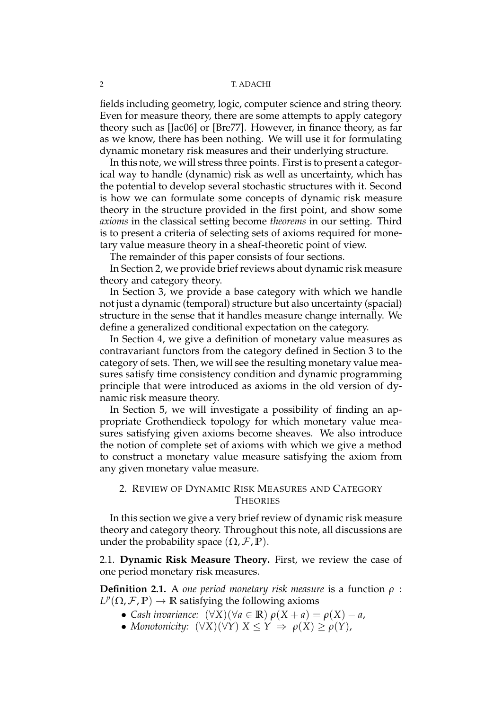fields including geometry, logic, computer science and string theory. Even for measure theory, there are some attempts to apply category theory such as [Jac06] or [Bre77]. However, in finance theory, as far as we know, there has been nothing. We will use it for formulating dynamic monetary risk measures and their underlying structure.

In this note, we will stress three points. First is to present a categorical way to handle (dynamic) risk as well as uncertainty, which has the potential to develop several stochastic structures with it. Second is how we can formulate some concepts of dynamic risk measure theory in the structure provided in the first point, and show some *axioms* in the classical setting become *theorems* in our setting. Third is to present a criteria of selecting sets of axioms required for monetary value measure theory in a sheaf-theoretic point of view.

The remainder of this paper consists of four sections.

In Section 2, we provide brief reviews about dynamic risk measure theory and category theory.

In Section 3, we provide a base category with which we handle not just a dynamic (temporal) structure but also uncertainty (spacial) structure in the sense that it handles measure change internally. We define a generalized conditional expectation on the category.

In Section 4, we give a definition of monetary value measures as contravariant functors from the category defined in Section 3 to the category of sets. Then, we will see the resulting monetary value measures satisfy time consistency condition and dynamic programming principle that were introduced as axioms in the old version of dynamic risk measure theory.

In Section 5, we will investigate a possibility of finding an appropriate Grothendieck topology for which monetary value measures satisfying given axioms become sheaves. We also introduce the notion of complete set of axioms with which we give a method to construct a monetary value measure satisfying the axiom from any given monetary value measure.

# 2. REVIEW OF DYNAMIC RISK MEASURES AND CATEGORY **THEORIES**

In this section we give a very brief review of dynamic risk measure theory and category theory. Throughout this note, all discussions are under the probability space  $(\Omega, \mathcal{F}, \mathbb{P})$ .

2.1. **Dynamic Risk Measure Theory.** First, we review the case of one period monetary risk measures.

**Definition 2.1.** A *one period monetary risk measure* is a function *ρ* :  $L^p(\Omega, \mathcal{F}, \mathbb{P}) \to \mathbb{R}$  satisfying the following axioms

- *• Cash invariance:* (*∀X*)(*∀a ∈* **R**) *ρ*(*X* + *a*) = *ρ*(*X*) *− a*,
- *• Monotonicity:* (*∀X*)(*∀Y*) *X ≤ Y ⇒ ρ*(*X*) *≥ ρ*(*Y*),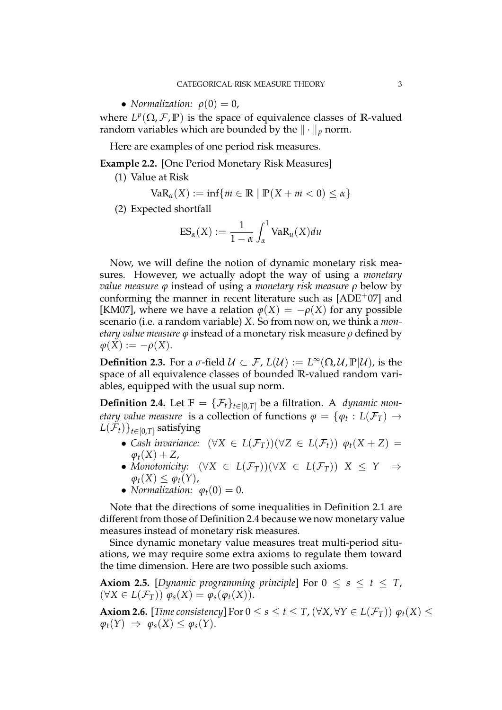• *Normalization:*  $\rho(0) = 0$ ,

where  $L^p(\Omega, \mathcal{F}, \mathbb{P})$  is the space of equivalence classes of R-valued random variables which are bounded by the *∥ · ∥<sup>p</sup>* norm.

Here are examples of one period risk measures.

**Example 2.2.** [One Period Monetary Risk Measures]

(1) Value at Risk

$$
VaR_{\alpha}(X) := \inf\{m \in \mathbb{R} \mid \mathbb{P}(X + m < 0) \leq \alpha\}
$$

(2) Expected shortfall

$$
ES_{\alpha}(X) := \frac{1}{1-\alpha} \int_{\alpha}^{1} VaR_{\mu}(X) du
$$

Now, we will define the notion of dynamic monetary risk measures. However, we actually adopt the way of using a *monetary value measure φ* instead of using a *monetary risk measure ρ* below by conforming the manner in recent literature such as  $[ADE<sup>+</sup>07]$  and [KM07], where we have a relation  $\varphi(X) = -\rho(X)$  for any possible scenario (i.e. a random variable) *X*. So from now on, we think a *monetary value measure φ* instead of a monetary risk measure *ρ* defined by  $\varphi(X) := -\rho(X).$ 

**Definition 2.3.** For a  $\sigma$ -field  $\mathcal{U} \subset \mathcal{F}$ ,  $L(\mathcal{U}) := L^{\infty}(\Omega, \mathcal{U}, \mathbb{P}|\mathcal{U})$ , is the space of all equivalence classes of bounded **R**-valued random variables, equipped with the usual sup norm.

**Definition 2.4.** Let  $\mathbb{F} = {\mathcal{F}_t}_{t\in[0,T]}$  be a filtration. A *dynamic monetary value measure* is a collection of functions  $\varphi = \{\varphi_t: L(\mathcal{F}_T) \to$  $L(\mathcal{F}_t)\}_{t\in[0,T]}$  satisfying

- *• Cash invariance:* (*∀X ∈ L*(*FT*))(*∀Z ∈ L*(*Ft*)) *φt*(*X* + *Z*) =  $\varphi_t(X) + Z$ ,
- *• Monotonicity:* (*∀X ∈ L*(*FT*))(*∀X ∈ L*(*FT*)) *X ≤ Y ⇒*  $\varphi_t(X) \leq \varphi_t(Y)$ ,
- *Normalization:*  $\varphi_t(0) = 0$ .

Note that the directions of some inequalities in Definition 2.1 are different from those of Definition 2.4 because we now monetary value measures instead of monetary risk measures.

Since dynamic monetary value measures treat multi-period situations, we may require some extra axioms to regulate them toward the time dimension. Here are two possible such axioms.

**Axiom 2.5.** [Dynamic programming principle] For  $0 \leq s \leq t \leq T$ ,  $(\forall X \in L(\mathcal{F}_T)) \varphi_s(X) = \varphi_s(\varphi_t(X)).$ 

**Axiom 2.6.** [*Time consistency*] For  $0 \le s \le t \le T$ ,  $(\forall X, \forall Y \in L(\mathcal{F}_T))$   $\varphi_t(X) \le$  $\varphi_t(Y) \Rightarrow \varphi_s(X) \leq \varphi_s(Y).$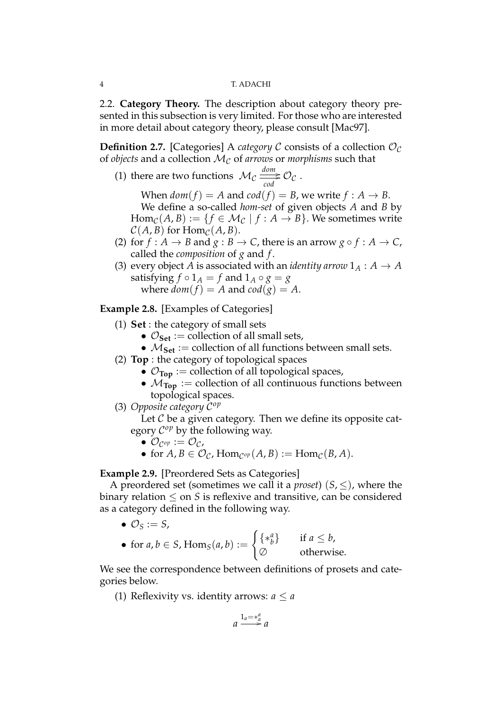2.2. **Category Theory.** The description about category theory presented in this subsection is very limited. For those who are interested in more detail about category theory, please consult [Mac97].

**Definition 2.7.** [Categories] A *category*  $C$  consists of a collection  $O_C$ of *objects* and a collection *M<sup>C</sup>* of *arrows* or *morphisms* such that

(1) there are two functions  $\mathcal{M}_\mathcal{C} \stackrel{dom}{\longrightarrow} 0$  $\frac{m}{\cos \theta}$   $\mathcal{O}_{\mathcal{C}}$  .

When  $dom(f) = A$  and  $cod(f) = B$ , we write  $f : A \rightarrow B$ .

We define a so-called *hom-set* of given objects *A* and *B* by  $\text{Hom}_{\mathcal{C}}(A, B) := \{f \in \mathcal{M}_{\mathcal{C}} \mid f : A \to B\}.$  We sometimes write  $C(A, B)$  for Hom<sub> $C$ </sub> $(A, B)$ .

- (2) for  $f : A \rightarrow B$  and  $g : B \rightarrow C$ , there is an arrow  $g \circ f : A \rightarrow C$ , called the *composition* of *g* and *f* .
- (3) every object *A* is associated with an *identity arrow*  $1_A : A \rightarrow A$ satisfying  $f \circ 1_A = f$  and  $1_A \circ g = g$ where  $dom(f) = A$  and  $cod(g) = A$ .

# **Example 2.8.** [Examples of Categories]

- (1) **Set** : the category of small sets
	- $\mathcal{O}_{\mathbf{Set}}$  := collection of all small sets,
	- $M_{\text{Set}}$  := collection of all functions between small sets.
- (2) **Top** : the category of topological spaces
	- $\mathcal{O}_{\text{Top}}$  := collection of all topological spaces,
	- $M_{\text{Top}}$  := collection of all continuous functions between topological spaces.
- (3) *Opposite category C op*

Let *C* be a given category. Then we define its opposite category  $C^{op}$  by the following way.

- $\bullet$   $\mathcal{O}_{\mathcal{C}^{op}} := \mathcal{O}_{\mathcal{C}}$
- for  $A, B \in \mathcal{O}_{\mathcal{C}}$ ,  $\text{Hom}_{\mathcal{C}^{op}}(A, B) := \text{Hom}_{\mathcal{C}}(B, A)$ .

**Example 2.9.** [Preordered Sets as Categories]

A preordered set (sometimes we call it a *proset*)  $(S, \le)$ , where the binary relation *≤* on *S* is reflexive and transitive, can be considered as a category defined in the following way.

•  $\mathcal{O}_S := S$ ,

• for 
$$
a, b \in S
$$
,  $\text{Hom}_S(a, b) := \begin{cases} \{ *_b^a \} & \text{if } a \leq b, \\ \varnothing & \text{otherwise.} \end{cases}$ 

We see the correspondence between definitions of prosets and categories below.

(1) Reflexivity vs. identity arrows:  $a \le a$ 

$$
a \xrightarrow{1_a = *^a_a} a
$$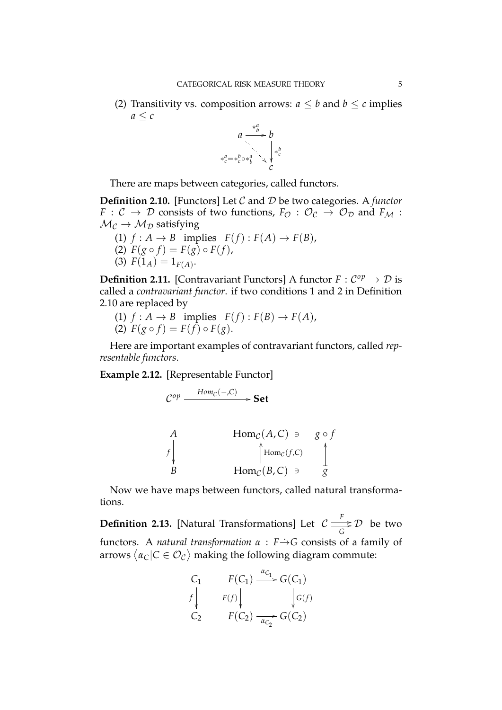(2) Transitivity vs. composition arrows:  $a \leq b$  and  $b \leq c$  implies  $a < c$ 



There are maps between categories, called functors.

**Definition 2.10.** [Functors] Let *C* and *D* be two categories. A *functor F* :  $C \rightarrow D$  consists of two functions,  $F_{\mathcal{O}} : \mathcal{O}_{C} \rightarrow \mathcal{O}_{D}$  and  $F_{\mathcal{M}}$ :  $M_{\mathcal{C}} \rightarrow M_{\mathcal{D}}$  satisfying

(1)  $f: A \rightarrow B$  implies  $F(f): F(A) \rightarrow F(B)$ ,  $\hat{F}(g \circ f) = F(g) \circ F(f),$ (3)  $F(1_A) = 1_{F(A)}$ .

**Definition 2.11.** [Contravariant Functors] A functor  $F: C^{op} \to \mathcal{D}$  is called a *contravariant functor*. if two conditions 1 and 2 in Definition 2.10 are replaced by

(1)  $f: A \rightarrow B$  implies  $F(f): F(B) \rightarrow F(A)$ , (2)  $F(g \circ f) = F(f) \circ F(g)$ .

Here are important examples of contravariant functors, called *representable functors*.

**Example 2.12.** [Representable Functor]

$$
\mathcal{C}^{op} \xrightarrow{\text{Hom}_{\mathcal{C}}(-,C)} \textbf{Set}
$$

A 
$$
\text{Hom}_{\mathcal{C}}(A, C) \ni g \circ f
$$
  
\n $f \downarrow \qquad \qquad \uparrow \text{Hom}_{\mathcal{C}}(f, C) \qquad \qquad \uparrow$   
\nB  $\text{Hom}_{\mathcal{C}}(B, C) \ni g$ 

Now we have maps between functors, called natural transformations.

**Definition 2.13.** [Natural Transformations] Let  $C \stackrel{F}{\Longrightarrow} C$  $\frac{1}{G}$   $\mathcal{D}$  be two functors. A *natural transformation α* : *F→*˙ *G* consists of a family of arrows  $\langle \alpha_C| C \in \mathcal{O}_\mathcal{C} \rangle$  making the following diagram commute:

$$
C_1 \t F(C_1) \xrightarrow{\alpha_{C_1}} G(C_1)
$$
  
\n
$$
F(f) \t \downarrow \t \downarrow G(f)
$$
  
\n
$$
C_2 \t F(C_2) \xrightarrow{\alpha_{C_2}} G(C_2)
$$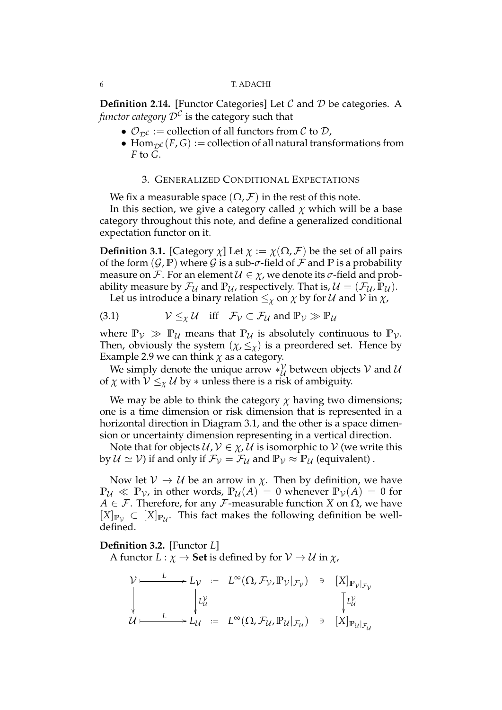**Definition 2.14.** [Functor Categories] Let *C* and *D* be categories. A *functor category*  $\mathcal{D}^{\mathcal{C}}$  *is the category such that* 

- $\mathcal{O}_{\mathcal{D}^{\mathcal{C}}}$  := collection of all functors from  $\mathcal{C}$  to  $\mathcal{D}$ ,
- Hom<sub> $D^C$ </sub> $(F, G)$  := collection of all natural transformations from *F* to *G*.

# 3. GENERALIZED CONDITIONAL EXPECTATIONS

We fix a measurable space  $(\Omega, \mathcal{F})$  in the rest of this note.

In this section, we give a category called  $\chi$  which will be a base category throughout this note, and define a generalized conditional expectation functor on it.

**Definition 3.1.** [Category  $\chi$ ] Let  $\chi := \chi(\Omega, \mathcal{F})$  be the set of all pairs of the form  $(\mathcal{G}, \mathbb{P})$  where  $\mathcal{G}$  is a sub- $\sigma$ -field of  $\mathcal{F}$  and  $\mathbb{P}$  is a probability measure on *F*. For an element  $U \in \chi$ , we denote its *σ*-field and probability measure by  $\mathcal{F}_{\mathcal{U}}$  and  $\mathbb{P}_{\mathcal{U}}$ , respectively. That is,  $\mathcal{U} = (\mathcal{F}_{\mathcal{U}}, \mathbb{P}_{\mathcal{U}})$ .

Let us introduce a binary relation  $\leq_\chi$  on  $\chi$  by for  $\mathcal U$  and  $\mathcal V$  in  $\chi$ ,

(3.1) 
$$
V \leq_{\chi} U
$$
 iff  $\mathcal{F}_V \subset \mathcal{F}_U$  and  $\mathbb{P}_V \gg \mathbb{P}_U$ 

where  $\mathbb{P}_{\mathcal{V}} \gg \mathbb{P}_{\mathcal{U}}$  means that  $\mathbb{P}_{\mathcal{U}}$  is absolutely continuous to  $\mathbb{P}_{\mathcal{V}}$ . Then, obviously the system  $(\chi, \leq_{\chi})$  is a preordered set. Hence by Example 2.9 we can think  $\chi$  as a category.

We simply denote the unique arrow *∗*<sup>*V*</sup>  $\mathcal{U}_{\mathcal{U}}$  between objects  $\mathcal{V}$  and  $\mathcal{U}$ of *χ* with  $V \leq_{\chi} U$  by  $*$  unless there is a risk of ambiguity.

We may be able to think the category  $\chi$  having two dimensions; one is a time dimension or risk dimension that is represented in a horizontal direction in Diagram 3.1, and the other is a space dimension or uncertainty dimension representing in a vertical direction.

Note that for objects  $U, V \in \chi, U$  is isomorphic to  $V$  (we write this by  $U \simeq V$ ) if and only if  $\mathcal{F}_V = \mathcal{F}_U$  and  $\mathbb{P}_V \approx \mathbb{P}_U$  (equivalent).

Now let  $V \to U$  be an arrow in  $\chi$ . Then by definition, we have  $\mathbb{P}_U \ll \mathbb{P}_V$ , in other words,  $\mathbb{P}_U(A) = 0$  whenever  $\mathbb{P}_V(A) = 0$  for *A*  $∈$  *F*. Therefore, for any *F*-measurable function *X* on  $Ω$ , we have  $[X]_{\mathbb{P}_{\mathcal{V}}}$  ⊂  $[X]_{\mathbb{P}_{\mathcal{U}}}$ . This fact makes the following definition be welldefined.

# **Definition 3.2.** [Functor *L*]

A functor  $L: \chi \to \mathbf{Set}$  is defined by for  $V \to U$  in  $\chi$ ,

$$
\mathcal{V} \longmapsto L_{\mathcal{V}} := L^{\infty}(\Omega, \mathcal{F}_{\mathcal{V}}, \mathbb{P}_{\mathcal{V}}|_{\mathcal{F}_{\mathcal{V}}}) \ni [X]_{\mathbb{P}_{\mathcal{V}}|_{\mathcal{F}_{\mathcal{V}}}}
$$
  
\n
$$
\downarrow \qquad \qquad \downarrow L_{\mathcal{U}} := L^{\infty}(\Omega, \mathcal{F}_{\mathcal{U}}, \mathbb{P}_{\mathcal{U}}|_{\mathcal{F}_{\mathcal{U}}}) \ni [X]_{\mathbb{P}_{\mathcal{U}}|_{\mathcal{F}_{\mathcal{U}}}}
$$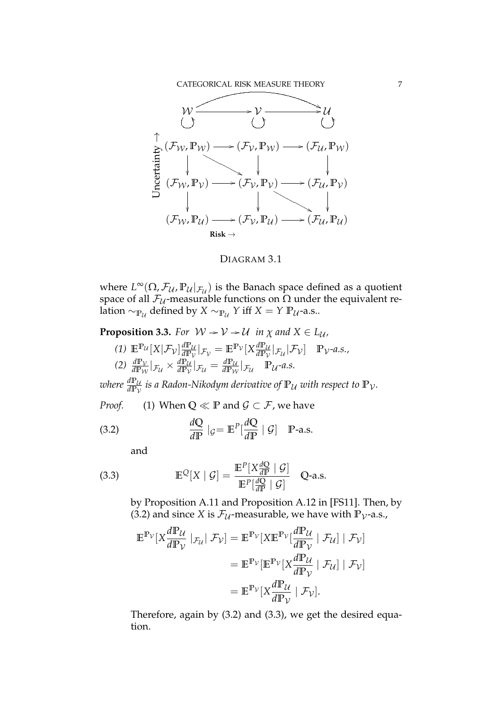

# DIAGRAM 3.1

where  $L^{\infty}(\Omega, \mathcal{F}_{\mathcal{U}}, \mathbb{P}_{\mathcal{U}}|_{\mathcal{F}_{\mathcal{U}}})$  is the Banach space defined as a quotient space of all  $\mathcal{F}_{\mathcal{U}}$ -measurable functions on  $\Omega$  under the equivalent relation  $\sim$   $_{\mathbb{P}_{\mathcal{U}}}$  defined by  $X \sim_{\mathbb{P}_{\mathcal{U}}} Y$  iff  $X = Y \mathbb{P}_{\mathcal{U}}$ -a.s..

**Proposition 3.3.** *For*  $W \rightarrow V \rightarrow U$  *in*  $\chi$  *and*  $X \in L_{\mathcal{U}}$ *,* 

(1) 
$$
\mathbb{E}^{\mathbb{P}_{\mathcal{U}}}[X|\mathcal{F}_{\mathcal{V}}] \frac{d\mathbb{P}_{\mathcal{U}}}{d\mathbb{P}_{\mathcal{V}}}|_{\mathcal{F}_{\mathcal{V}}} = \mathbb{E}^{\mathbb{P}_{\mathcal{V}}}[X \frac{d\mathbb{P}_{\mathcal{U}}}{d\mathbb{P}_{\mathcal{V}}}|_{\mathcal{F}_{\mathcal{U}}}|\mathcal{F}_{\mathcal{V}}] \quad \mathbb{P}_{\mathcal{V}}\text{-}a.s.,
$$
  
(2)  $\frac{d\mathbb{P}_{\mathcal{V}}}{d\mathbb{P}_{\mathcal{W}}}|_{\mathcal{F}_{\mathcal{U}}} \times \frac{d\mathbb{P}_{\mathcal{U}}}{d\mathbb{P}_{\mathcal{V}}}|_{\mathcal{F}_{\mathcal{U}}} = \frac{d\mathbb{P}_{\mathcal{U}}}{d\mathbb{P}_{\mathcal{W}}}|_{\mathcal{F}_{\mathcal{U}}} \quad \mathbb{P}_{\mathcal{U}}\text{-}a.s.$ 

where  $\frac{d\mathbb{P}_{\mathcal{U}}}{d\mathbb{P}_{\mathcal{V}}}$  is a Radon-Nikodym derivative of  $\mathbb{P}_{\mathcal{U}}$  with respect to  $\mathbb{P}_{\mathcal{V}}.$ 

*Proof.* (1) When  $Q \ll P$  and  $G \subset F$ , we have

(3.2) 
$$
\frac{dQ}{dP} |_{\mathcal{G}} = \mathbb{E}^P[\frac{dQ}{dP} | \mathcal{G}] \quad \mathbb{P}\text{-a.s.}
$$

and

(3.3) 
$$
\mathbb{E}^{\mathcal{Q}}[X \mid \mathcal{G}] = \frac{\mathbb{E}^P[X \frac{dQ}{dP} \mid \mathcal{G}]}{\mathbb{E}^P[\frac{dQ}{dP} \mid \mathcal{G}]} \quad Q\text{-a.s.}
$$

by Proposition A.11 and Proposition A.12 in [FS11]. Then, by (3.2) and since *X* is  $\mathcal{F}_{\mathcal{U}}$ -measurable, we have with  $\mathbb{P}_{\mathcal{V}}$ -a.s.,

$$
\mathbb{E}^{\mathbb{P}_{\mathcal{V}}}[X \frac{d\mathbb{P}_{\mathcal{U}}}{d\mathbb{P}_{\mathcal{V}}} | \mathcal{F}_{\mathcal{U}}] = \mathbb{E}^{\mathbb{P}_{\mathcal{V}}}[X \mathbb{E}^{\mathbb{P}_{\mathcal{V}}}[\frac{d\mathbb{P}_{\mathcal{U}}}{d\mathbb{P}_{\mathcal{V}}} | \mathcal{F}_{\mathcal{U}}] | \mathcal{F}_{\mathcal{V}}]
$$

$$
= \mathbb{E}^{\mathbb{P}_{\mathcal{V}}}[\mathbb{E}^{\mathbb{P}_{\mathcal{V}}}[X \frac{d\mathbb{P}_{\mathcal{U}}}{d\mathbb{P}_{\mathcal{V}}} | \mathcal{F}_{\mathcal{U}}] | \mathcal{F}_{\mathcal{V}}]
$$

$$
= \mathbb{E}^{\mathbb{P}_{\mathcal{V}}}[X \frac{d\mathbb{P}_{\mathcal{U}}}{d\mathbb{P}_{\mathcal{V}}} | \mathcal{F}_{\mathcal{V}}].
$$

Therefore, again by (3.2) and (3.3), we get the desired equation.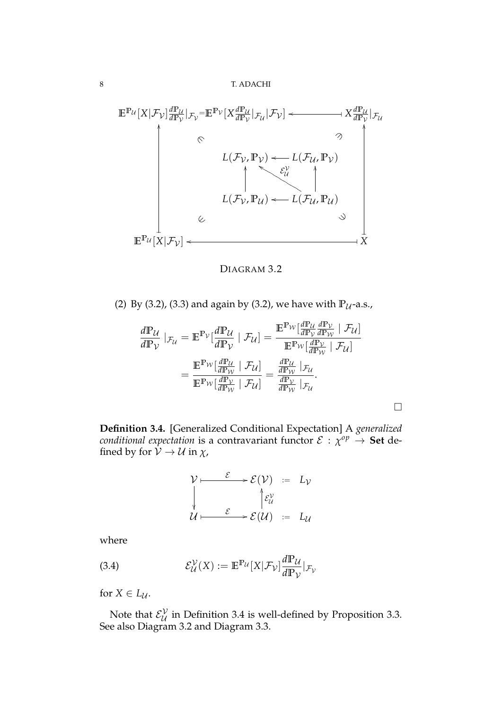

DIAGRAM 3.2

(2) By (3.2), (3.3) and again by (3.2), we have with  $\mathbb{P}_{\mathcal{U}}$ -a.s.,

$$
\frac{d\mathbb{P}_{\mathcal{U}}}{d\mathbb{P}_{\mathcal{V}}} \mid_{\mathcal{F}_{\mathcal{U}}} = \mathbb{E}^{\mathbb{P}_{\mathcal{V}}}[\frac{d\mathbb{P}_{\mathcal{U}}}{d\mathbb{P}_{\mathcal{V}}} \mid \mathcal{F}_{\mathcal{U}}] = \frac{\mathbb{E}^{\mathbb{P}_{\mathcal{W}}}[\frac{d\mathbb{P}_{\mathcal{U}}}{d\mathbb{P}_{\mathcal{V}}} \frac{d\mathbb{P}_{\mathcal{V}}}{d\mathbb{P}_{\mathcal{W}}} \mid \mathcal{F}_{\mathcal{U}}]}{\mathbb{E}^{\mathbb{P}_{\mathcal{W}}}[\frac{d\mathbb{P}_{\mathcal{U}}}{d\mathbb{P}_{\mathcal{W}}} \mid \mathcal{F}_{\mathcal{U}}]} = \frac{\mathbb{E}^{\mathbb{P}_{\mathcal{W}}}[\frac{d\mathbb{P}_{\mathcal{U}}}{d\mathbb{P}_{\mathcal{W}}} \mid \mathcal{F}_{\mathcal{U}}]}{\mathbb{E}^{\mathbb{P}_{\mathcal{W}}}[\frac{d\mathbb{P}_{\mathcal{U}}}{d\mathbb{P}_{\mathcal{W}}} \mid \mathcal{F}_{\mathcal{U}}]} = \frac{\frac{d\mathbb{P}_{\mathcal{U}}}{d\mathbb{P}_{\mathcal{W}}}[\frac{d\mathbb{P}_{\mathcal{V}}}{d\mathbb{P}_{\mathcal{W}}} \mid \mathcal{F}_{\mathcal{U}}]}{\frac{d\mathbb{P}_{\mathcal{V}}}{d\mathbb{P}_{\mathcal{W}}} \mid \mathcal{F}_{\mathcal{U}}}.
$$

□

**Definition 3.4.** [Generalized Conditional Expectation] A *generalized conditional expectation* is a contravariant functor  $\mathcal{E}$  :  $\chi^{op} \to \mathbf{Set}$  defined by for  $\mathcal{V} \to \mathcal{U}$  in  $\chi$ ,

$$
\mathcal{V} \longmapsto \mathcal{E}(\mathcal{V}) := L_{\mathcal{V}}
$$
\n
$$
\downarrow \qquad \qquad \downarrow \qquad \qquad \downarrow \qquad \downarrow \qquad \downarrow \qquad \downarrow
$$
\n
$$
\mathcal{U} \longmapsto \mathcal{E}(\mathcal{U}) := L_{\mathcal{U}}
$$

where

(3.4) 
$$
\mathcal{E}_{\mathcal{U}}^{\mathcal{V}}(X) := \mathbb{E}^{\mathbb{P}_{\mathcal{U}}}[X|\mathcal{F}_{\mathcal{V}}] \frac{d\mathbb{P}_{\mathcal{U}}}{d\mathbb{P}_{\mathcal{V}}}|_{\mathcal{F}_{\mathcal{V}}}
$$

for  $X \in L_{\mathcal{U}}$ .

Note that  $\mathcal{E}_{\mathcal{U}}^{\mathcal{V}}$  $\mathcal{U}_{\mathcal{U}}$  in Definition 3.4 is well-defined by Proposition 3.3. See also Diagram 3.2 and Diagram 3.3.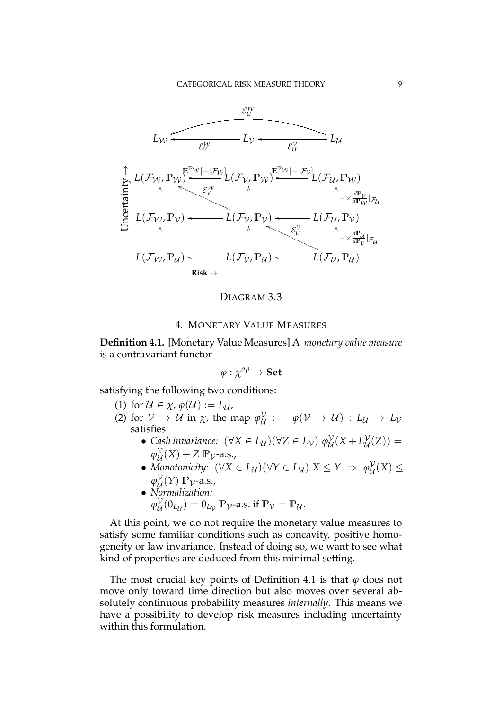

DIAGRAM 3.3

# 4. MONETARY VALUE MEASURES

**Definition 4.1.** [Monetary Value Measures] A *monetary value measure* is a contravariant functor

$$
\varphi:\chi^{op}\to\mathbf{Set}
$$

satisfying the following two conditions:

(1) for  $\mathcal{U} \in \chi$ ,  $\varphi(\mathcal{U}) := L_{\mathcal{U}}$ ,

- (2) for  $V \rightarrow U$  in  $\chi$ , the map  $\varphi_{U}^{\mathcal{V}}$  $U^{\mathcal{V}}_{\mathcal{U}} := \varphi(\mathcal{V} \to \mathcal{U}) : L_{\mathcal{U}} \to L_{\mathcal{V}}$ satisfies
	- *• Cash invariance:*  $(\forall X \in L_{\mathcal{U}})(\forall Z \in L_{\mathcal{V}})$   $\varphi_{\mathcal{U}}^{\mathcal{V}}(X + L_{\mathcal{U}}^{\mathcal{V}}(Z)) =$  $U^{(\Lambda \top L)}$ *φ V*  $\mathcal{U}(\mathbf{X}) + \mathbf{Z} \mathbf{P}$ <sub>V</sub>-a.s.,
	- *• Monotonicity:*  $(\forall X \in L_{\mathcal{U}})(\forall Y \in L_{\mathcal{U}}) X \leq Y \Rightarrow \varphi_{\mathcal{U}}^{\mathcal{V}}$ *U* (*X*) *≤ φ V*  $\frac{\partial}{\partial t}(Y)$  **P**<sub>V</sub>-a.s.,
	- *• Normalization: φ V*  $U_{\mathcal{U}}^{V}(0_{L_{\mathcal{U}}}) = 0_{L_{\mathcal{V}}}$  P<sub>V</sub>-a.s. if  $\mathbb{P}_{\mathcal{V}} = \mathbb{P}_{\mathcal{U}}$ .

At this point, we do not require the monetary value measures to satisfy some familiar conditions such as concavity, positive homogeneity or law invariance. Instead of doing so, we want to see what kind of properties are deduced from this minimal setting.

The most crucial key points of Definition 4.1 is that *φ* does not move only toward time direction but also moves over several absolutely continuous probability measures *internally*. This means we have a possibility to develop risk measures including uncertainty within this formulation.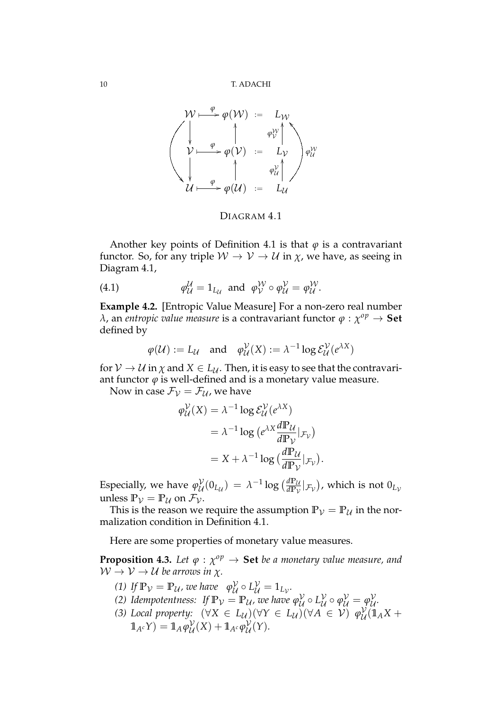

DIAGRAM 4.1

Another key points of Definition 4.1 is that  $\varphi$  is a contravariant functor. So, for any triple  $W \to V \to U$  in  $\chi$ , we have, as seeing in Diagram 4.1,

(4.1) 
$$
\varphi_{\mathcal{U}}^{\mathcal{U}} = 1_{L_{\mathcal{U}}} \text{ and } \varphi_{\mathcal{V}}^{\mathcal{W}} \circ \varphi_{\mathcal{U}}^{\mathcal{V}} = \varphi_{\mathcal{U}}^{\mathcal{W}}.
$$

**Example 4.2.** [Entropic Value Measure] For a non-zero real number *λ*, an *entropic value measure* is a contravariant functor *φ* : *χ op →* **Set** defined by

$$
\varphi(\mathcal{U}) := L_{\mathcal{U}}
$$
 and  $\varphi_{\mathcal{U}}^{\mathcal{V}}(X) := \lambda^{-1} \log \mathcal{E}_{\mathcal{U}}^{\mathcal{V}}(e^{\lambda X})$ 

for  $V \to U$  in  $\chi$  and  $X \in L_U$ . Then, it is easy to see that the contravariant functor  $\varphi$  is well-defined and is a monetary value measure.

Now in case  $\mathcal{F}_V = \mathcal{F}_U$ , we have

$$
\varphi_{\mathcal{U}}^{\mathcal{V}}(\mathbf{X}) = \lambda^{-1} \log \mathcal{E}_{\mathcal{U}}^{\mathcal{V}}(e^{\lambda \mathbf{X}})
$$
  
=  $\lambda^{-1} \log (e^{\lambda \mathbf{X}} \frac{d\mathbf{P}_{\mathcal{U}}}{d\mathbf{P}_{\mathcal{V}}} |_{\mathcal{F}_{\mathcal{V}}})$   
=  $\mathbf{X} + \lambda^{-1} \log (\frac{d\mathbf{P}_{\mathcal{U}}}{d\mathbf{P}_{\mathcal{V}}} |_{\mathcal{F}_{\mathcal{V}}}).$ 

Especially, we have  $\varphi_{\mathcal{U}}^{\mathcal{V}}$  $\frac{\mathcal{V}}{\mathcal{U}}(0_{L_{\mathcal{U}}}) = \lambda^{-1}\log\big(\frac{d\mathbb{P}_{\mathcal{U}}}{d\mathbb{P}_{\mathcal{V}}}$  $\frac{d\mathbb{P}_{\mathcal{U}}}{d\mathbb{P}_{\mathcal{V}}} |_{\mathcal{F}_{\mathcal{V}}})$ , which is not  $0_{L_{\mathcal{V}}}$ unless  $\mathbb{P}_{\mathcal{V}} = \mathbb{P}_{\mathcal{U}}$  on  $\mathcal{F}_{\mathcal{V}}$ .

This is the reason we require the assumption  $\mathbb{P}_{\mathcal{V}} = \mathbb{P}_{\mathcal{U}}$  in the normalization condition in Definition 4.1.

Here are some properties of monetary value measures.

**Proposition 4.3.** Let  $\varphi$  :  $\chi^{op} \to$  Set be a monetary value measure, and  $W \rightarrow V \rightarrow U$  *be arrows in*  $\chi$ *.* 

- *(1)* If  $\mathbb{P}_{\mathcal{V}} = \mathbb{P}_{\mathcal{U}}$ , we have  $\varphi_{\mathcal{U}}^{\mathcal{V}}$  $U_{\mathcal{U}}^{\mathcal{V}}\circ L_{\mathcal{U}}^{\mathcal{V}}=1_{L_{\mathcal{V}}}$ .
- *(*2) Idempotentness: If  $\mathbb{P}_{\mathcal{V}} = \mathbb{P}_{\mathcal{U}}$ , we have  $\varphi^{\mathcal{V}}_{\mathcal{U}}$ *U ◦ L V*  $\mathcal{Y}_\mathcal{U} \circ \varphi_\mathcal{U}^\mathcal{V} = \varphi_\mathcal{U}^\mathcal{V}$ *U .*
- *(3) Local property:*  $(\forall X \in L_{\mathcal{U}})(\forall Y \in L_{\mathcal{U}})(\forall A \in \mathcal{V})$   $\varphi_{\mathcal{U}}^{\mathcal{V}}$  $\frac{\partial}{\partial t}(\mathbb{1}_A X +$  $1\hskip-3.5pt1_{A^c}Y)=1\hskip-3.5pt1_A\varphi^{\cal V}_{\cal U}$  $\frac{\mathcal{V}}{\mathcal{U}}(X) + 1\!\!1_{A^c} \varphi_{\mathcal{U}}^{\mathcal{V}}$ *U* (*Y*)*.*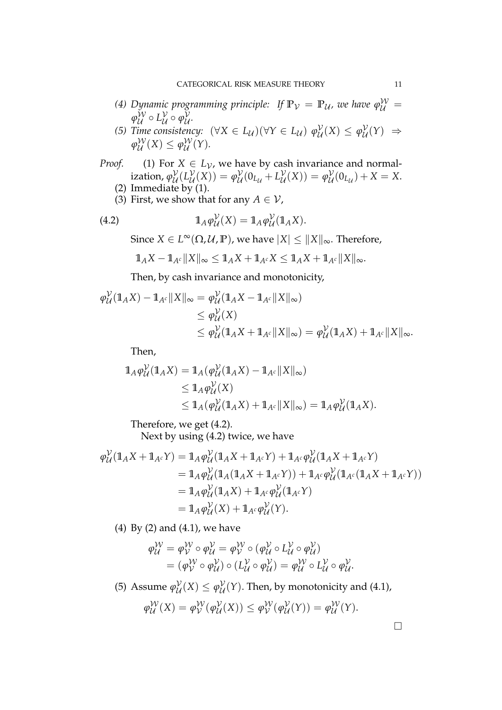- *(4) Dynamic programming principle: If*  $\mathbb{P}_{\mathcal{V}} = \mathbb{P}_{\mathcal{U}}$ *, we have*  $\varphi^{\mathcal{W}}_{\mathcal{U}} =$  $φ_{\mathcal{U}}^{\mathcal{W}} \circ L_{\mathcal{U}}^{\mathcal{V}}$ *U ◦ φ V U .*
- *(5) Time consistency:*  $(\forall X \in L_{\mathcal{U}})(\forall Y \in L_{\mathcal{U}}) \varphi_{\mathcal{U}}^{\mathcal{V}}$  $\mathcal{Y}_{\mathcal{U}}(X) \leq \varphi_{\mathcal{U}}^{\mathcal{V}}$ *U* (*Y*) *⇒*  $\varphi_{\mathcal{U}}^{\mathcal{W}}(X) \leq \varphi_{\mathcal{U}}^{\mathcal{W}}(Y).$
- *Proof.* (1) For  $X \in L_V$ , we have by cash invariance and normalization*, φ<sup>γ</sup>*  $\overset{\mathcal{V}}{\mathcal{U}}\begin{pmatrix}L\mathcal{V}\ \mathcal{U}\end{pmatrix}$  $\mathcal{Y}_{\mathcal{U}}(X)$ ) =  $\varphi_{\mathcal{U}}^{\mathcal{V}}$  $U^{\mathcal{V}}_{\mathcal{U}}(0_{L_{\mathcal{U}}}+L_{\mathcal{U}}^{\mathcal{V}})$  $\mathcal{Y}_{\mathcal{U}}(X)) = \varphi_{\mathcal{U}}^{\mathcal{V}}$  $U_{\mathcal{U}}^{V}(0_{L_{\mathcal{U}}}) + X = X.$ (2) Immediate by (1).
	- (3) First, we show that for any  $A \in V$ ,

(4.2) 
$$
\mathbb{1}_A \varphi^{\mathcal{V}}_{\mathcal{U}}(X) = \mathbb{1}_A \varphi^{\mathcal{V}}_{\mathcal{U}}(\mathbb{1}_A X).
$$

Since  $X \in L^{\infty}(\Omega, \mathcal{U}, \mathbb{P})$ , we have  $|X| \leq \|X\|_{\infty}$ . Therefore,

$$
1\!\!1_A X - 1\!\!1_{A^c} \|X\|_{\infty} \leq 1\!\!1_A X + 1\!\!1_{A^c} X \leq 1\!\!1_A X + 1\!\!1_{A^c} \|X\|_{\infty}.
$$

Then, by cash invariance and monotonicity,

$$
\varphi_{\mathcal{U}}^{\mathcal{V}}(\mathbb{1}_{A}X) - \mathbb{1}_{A^{c}} \|X\|_{\infty} = \varphi_{\mathcal{U}}^{\mathcal{V}}(\mathbb{1}_{A}X - \mathbb{1}_{A^{c}} \|X\|_{\infty})
$$
  
\n
$$
\leq \varphi_{\mathcal{U}}^{\mathcal{V}}(X)
$$
  
\n
$$
\leq \varphi_{\mathcal{U}}^{\mathcal{V}}(\mathbb{1}_{A}X + \mathbb{1}_{A^{c}} \|X\|_{\infty}) = \varphi_{\mathcal{U}}^{\mathcal{V}}(\mathbb{1}_{A}X) + \mathbb{1}_{A^{c}} \|X\|_{\infty}.
$$

Then,

$$
\begin{aligned} \mathbb{1}_A \varphi^{\mathcal{V}}_{\mathcal{U}}(\mathbb{1}_A X) &= \mathbb{1}_A (\varphi^{\mathcal{V}}_{\mathcal{U}}(\mathbb{1}_A X) - \mathbb{1}_{A^c} \|X\|_{\infty}) \\ &\leq \mathbb{1}_A \varphi^{\mathcal{V}}_{\mathcal{U}}(X) \\ &\leq \mathbb{1}_A (\varphi^{\mathcal{V}}_{\mathcal{U}}(\mathbb{1}_A X) + \mathbb{1}_{A^c} \|X\|_{\infty}) = \mathbb{1}_A \varphi^{\mathcal{V}}_{\mathcal{U}}(\mathbb{1}_A X). \end{aligned}
$$

Therefore, we get (4.2).

Next by using (4.2) twice, we have

$$
\varphi_{\mathcal{U}}^{\mathcal{V}}(\mathbb{1}_{A}X + \mathbb{1}_{A^{c}}Y) = \mathbb{1}_{A}\varphi_{\mathcal{U}}^{\mathcal{V}}(\mathbb{1}_{A}X + \mathbb{1}_{A^{c}}Y) + \mathbb{1}_{A^{c}}\varphi_{\mathcal{U}}^{\mathcal{V}}(\mathbb{1}_{A}X + \mathbb{1}_{A^{c}}Y)
$$
  
\n
$$
= \mathbb{1}_{A}\varphi_{\mathcal{U}}^{\mathcal{V}}(\mathbb{1}_{A}(\mathbb{1}_{A}X + \mathbb{1}_{A^{c}}Y)) + \mathbb{1}_{A^{c}}\varphi_{\mathcal{U}}^{\mathcal{V}}(\mathbb{1}_{A^{c}}(\mathbb{1}_{A}X + \mathbb{1}_{A^{c}}Y))
$$
  
\n
$$
= \mathbb{1}_{A}\varphi_{\mathcal{U}}^{\mathcal{V}}(\mathbb{1}_{A}X) + \mathbb{1}_{A^{c}}\varphi_{\mathcal{U}}^{\mathcal{V}}(\mathbb{1}_{A^{c}}Y)
$$
  
\n
$$
= \mathbb{1}_{A}\varphi_{\mathcal{U}}^{\mathcal{V}}(X) + \mathbb{1}_{A^{c}}\varphi_{\mathcal{U}}^{\mathcal{V}}(Y).
$$

(4) By (2) and (4.1), we have

$$
\varphi_{\mathcal{U}}^{\mathcal{W}} = \varphi_{\mathcal{V}}^{\mathcal{W}} \circ \varphi_{\mathcal{U}}^{\mathcal{V}} = \varphi_{\mathcal{V}}^{\mathcal{W}} \circ (\varphi_{\mathcal{U}}^{\mathcal{V}} \circ L_{\mathcal{U}}^{\mathcal{V}} \circ \varphi_{\mathcal{U}}^{\mathcal{V}})
$$
  
=  $(\varphi_{\mathcal{V}}^{\mathcal{W}} \circ \varphi_{\mathcal{U}}^{\mathcal{V}}) \circ (L_{\mathcal{U}}^{\mathcal{V}} \circ \varphi_{\mathcal{U}}^{\mathcal{V}}) = \varphi_{\mathcal{U}}^{\mathcal{W}} \circ L_{\mathcal{U}}^{\mathcal{V}} \circ \varphi_{\mathcal{U}}^{\mathcal{V}}.$ 

(5) Assume  $\varphi_{\mathcal{U}}^{\mathcal{V}}$  $\mathcal{Y}_{\mathcal{U}}(X) \leq \varphi_{\mathcal{U}}^{\mathcal{V}}$  $U(\mathcal{U}(Y))$ . Then, by monotonicity and (4.1),

$$
\varphi_{\mathcal{U}}^{\mathcal{W}}(X) = \varphi_{\mathcal{V}}^{\mathcal{W}}(\varphi_{\mathcal{U}}^{\mathcal{V}}(X)) \leq \varphi_{\mathcal{V}}^{\mathcal{W}}(\varphi_{\mathcal{U}}^{\mathcal{V}}(Y)) = \varphi_{\mathcal{U}}^{\mathcal{W}}(Y).
$$

□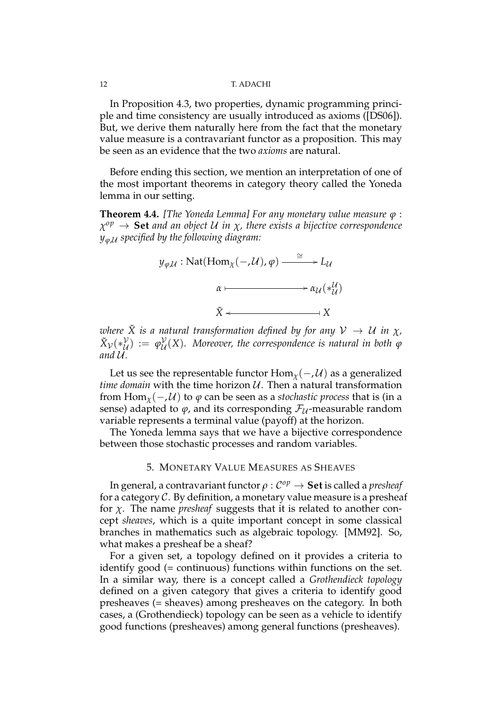In Proposition 4.3, two properties, dynamic programming principle and time consistency are usually introduced as axioms ([DS06]). But, we derive them naturally here from the fact that the monetary value measure is a contravariant functor as a proposition. This may be seen as an evidence that the two *axioms* are natural.

Before ending this section, we mention an interpretation of one of the most important theorems in category theory called the Yoneda lemma in our setting.

**Theorem 4.4.** *[The Yoneda Lemma] For any monetary value measure φ* : *χ op →* **Set** *and an object U in χ, there exists a bijective correspondence yφ*,*<sup>U</sup> specified by the following diagram:*

$$
y_{\varphi,\mathcal{U}} : \text{Nat}(\text{Hom}_{\chi}(-,\mathcal{U}), \varphi) \xrightarrow{\cong} L_{\mathcal{U}}
$$

$$
\alpha \longmapsto \alpha_{\mathcal{U}}(*_{\mathcal{U}}^{\mathcal{U}})
$$

$$
\tilde{X} \longleftarrow X
$$

*where*  $\tilde{X}$  *is a natural transformation defined by for any*  $V \rightarrow U$  *in*  $\chi$ *,*  $\tilde{X}_\mathcal{V}(*_\mathcal{U}^\mathcal{V}$  $\begin{array}{c} \nabla \nu \\ \nabla \nu \n\end{array} := \varphi_{\mathcal{U}}^{\mathcal{V}}$ *U* (*X*)*. Moreover, the correspondence is natural in both φ*  $and U.$ 

Let us see the representable functor  $\text{Hom}_{\chi}(-, \mathcal{U})$  as a generalized *time domain* with the time horizon *U*. Then a natural transformation from Hom<sub> $x$ </sub> $(-, U)$  to  $\varphi$  can be seen as a *stochastic process* that is (in a sense) adapted to  $\varphi$ , and its corresponding  $\mathcal{F}_U$ -measurable random variable represents a terminal value (payoff) at the horizon.

The Yoneda lemma says that we have a bijective correspondence between those stochastic processes and random variables.

# 5. MONETARY VALUE MEASURES AS SHEAVES

In general, a contravariant functor *ρ* : *C op →* **Set** is called a *presheaf* for a category *C*. By definition, a monetary value measure is a presheaf for *χ*. The name *presheaf* suggests that it is related to another concept *sheaves*, which is a quite important concept in some classical branches in mathematics such as algebraic topology. [MM92]. So, what makes a presheaf be a sheaf?

For a given set, a topology defined on it provides a criteria to identify good (= continuous) functions within functions on the set. In a similar way, there is a concept called a *Grothendieck topology* defined on a given category that gives a criteria to identify good presheaves (= sheaves) among presheaves on the category. In both cases, a (Grothendieck) topology can be seen as a vehicle to identify good functions (presheaves) among general functions (presheaves).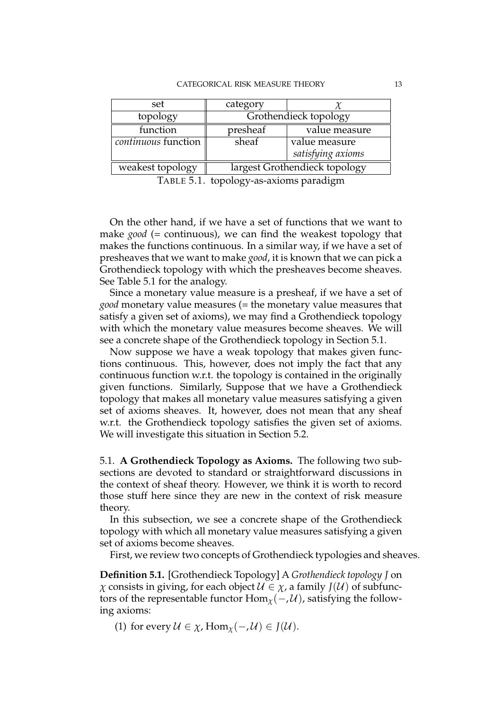| set                 | category                      |                   |
|---------------------|-------------------------------|-------------------|
| topology            | Grothendieck topology         |                   |
| function            | presheaf                      | value measure     |
| continuous function | sheaf                         | value measure     |
|                     |                               | satisfying axioms |
| weakest topology    | largest Grothendieck topology |                   |

TABLE 5.1. topology-as-axioms paradigm

On the other hand, if we have a set of functions that we want to make *good* (= continuous), we can find the weakest topology that makes the functions continuous. In a similar way, if we have a set of presheaves that we want to make *good*, it is known that we can pick a Grothendieck topology with which the presheaves become sheaves. See Table 5.1 for the analogy.

Since a monetary value measure is a presheaf, if we have a set of *good* monetary value measures (= the monetary value measures that satisfy a given set of axioms), we may find a Grothendieck topology with which the monetary value measures become sheaves. We will see a concrete shape of the Grothendieck topology in Section 5.1.

Now suppose we have a weak topology that makes given functions continuous. This, however, does not imply the fact that any continuous function w.r.t. the topology is contained in the originally given functions. Similarly, Suppose that we have a Grothendieck topology that makes all monetary value measures satisfying a given set of axioms sheaves. It, however, does not mean that any sheaf w.r.t. the Grothendieck topology satisfies the given set of axioms. We will investigate this situation in Section 5.2.

5.1. **A Grothendieck Topology as Axioms.** The following two subsections are devoted to standard or straightforward discussions in the context of sheaf theory. However, we think it is worth to record those stuff here since they are new in the context of risk measure theory.

In this subsection, we see a concrete shape of the Grothendieck topology with which all monetary value measures satisfying a given set of axioms become sheaves.

First, we review two concepts of Grothendieck typologies and sheaves.

**Definition 5.1.** [Grothendieck Topology] A *Grothendieck topology J* on *χ* consists in giving, for each object  $\mathcal{U} \in \chi$ , a family  $J(\mathcal{U})$  of subfunctors of the representable functor  $\text{Hom}_{\chi}(-, \mathcal{U})$ , satisfying the following axioms:

(1) for every  $U \in \chi$ , Hom<sub> $\chi$ </sub> $(-, \mathcal{U}) \in J(\mathcal{U})$ .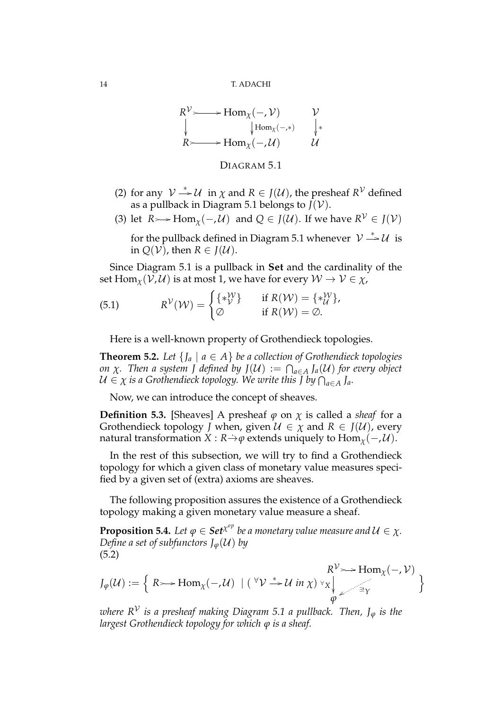$$
R^{\mathcal{V}} \longrightarrow \text{Hom}_{\chi}(-, \mathcal{V}) \qquad \mathcal{V}
$$
\n
$$
\downarrow \text{Hom}_{\chi}(-, \mathcal{U}) \qquad \qquad \downarrow \ast
$$
\n
$$
R \longrightarrow \text{Hom}_{\chi}(-, \mathcal{U}) \qquad \qquad \mathcal{U}
$$

# DIAGRAM 5.1

- (2) for any  $V \stackrel{*}{\rightarrow} U$  in  $\chi$  and  $R \in J(U)$ , the presheaf  $R^V$  defined as a pullback in Diagram 5.1 belongs to  $J(V)$ .
- (3) let  $R \rightarrowtail \text{Hom}_{\chi}(-\mathcal{M})$  and  $Q \in J(\mathcal{U})$ . If we have  $R^{\mathcal{V}} \in J(\mathcal{V})$

for the pullback defined in Diagram 5.1 whenever  $\mathcal{V} \stackrel{*}{\rightharpoonup} \mathcal{U}$  is in  $Q(V)$ , then  $R \in J(U)$ .

Since Diagram 5.1 is a pullback in **Set** and the cardinality of the set  $\text{Hom}_{\chi}(\mathcal{V}, \mathcal{U})$  is at most 1, we have for every  $\mathcal{W} \to \mathcal{V} \in \chi$ ,

(5.1) 
$$
R^{\mathcal{V}}(\mathcal{W}) = \begin{cases} {\ast}^{\mathcal{W}}_{\mathcal{V}} & \text{if } R(\mathcal{W}) = {\ast}^{\mathcal{W}}_{\mathcal{U}} \\ \varnothing & \text{if } R(\mathcal{W}) = \varnothing. \end{cases}
$$

Here is a well-known property of Grothendieck topologies.

**Theorem 5.2.** *Let*  $\{J_a \mid a \in A\}$  *be a collection of Grothendieck topologies on*  $\chi$ . Then a system J defined by  $J(\mathcal{U}) := \bigcap_{a \in A} J_a(\mathcal{U})$  for every object *U ∈ χ is a Grothendieck topology. We write this J by* ∩ *<sup>a</sup>∈<sup>A</sup> Ja.*

Now, we can introduce the concept of sheaves.

**Definition 5.3.** [Sheaves] A presheaf  $\varphi$  on  $\chi$  is called a *sheaf* for a Grothendieck topology *J* when, given  $\mathcal{U} \in \chi$  and  $R \in J(\mathcal{U})$ , every natural transformation *X* :  $R \rightarrow \varphi$  extends uniquely to Hom<sub>*x*</sub>(*−*, *U*).

In the rest of this subsection, we will try to find a Grothendieck topology for which a given class of monetary value measures specified by a given set of (extra) axioms are sheaves.

The following proposition assures the existence of a Grothendieck topology making a given monetary value measure a sheaf.

**Proposition 5.4.** Let  $\varphi \in \mathcal{S} e t^{\chi^{op}}$  be a monetary value measure and  $\mathcal{U} \in \chi$ . *Define a set of subfunctors*  $J_{\varphi}(\mathcal{U})$  *by* (5.2)

$$
J_{\varphi}(\mathcal{U}) := \left\{ R \rightarrow \text{Hom}_{\chi}(-, \mathcal{U}) \mid (\forall \mathcal{V} \xrightarrow{\ast} \mathcal{U} \text{ in } \chi) \forall \chi \downarrow \text{Hom}_{\chi}(-, \mathcal{V}) \atop \varphi \right\}
$$

*where R<sup>V</sup> is a presheaf making Diagram 5.1 a pullback. Then, J<sup>φ</sup> is the largest Grothendieck topology for which φ is a sheaf.*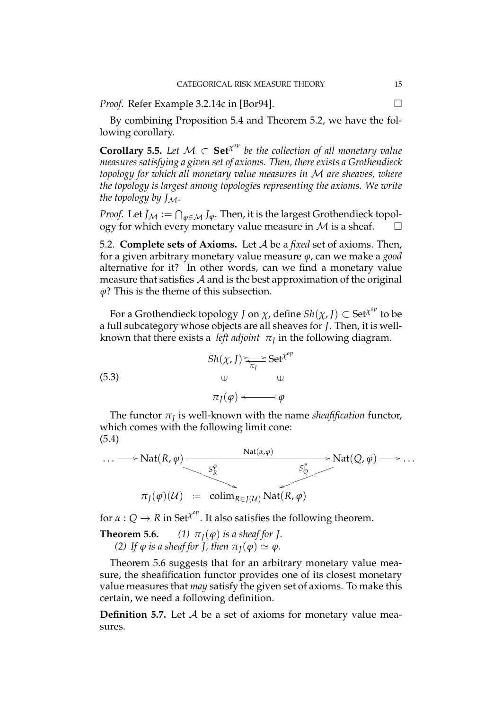*Proof.* Refer Example 3.2.14c in [Bor94].  $\Box$ 

By combining Proposition 5.4 and Theorem 5.2, we have the following corollary.

**Corollary 5.5.** Let  $\mathcal{M} \subset \mathbf{Set}^{\chi^{op}}$  be the collection of all monetary value *measures satisfying a given set of axioms. Then, there exists a Grothendieck topology for which all monetary value measures in M are sheaves, where the topology is largest among topologies representing the axioms. We write the topology by JM.*

*Proof.* Let  $J_{\mathcal{M}} := \bigcap_{\varphi \in \mathcal{M}} J_{\varphi}$ . Then, it is the largest Grothendieck topology for which every monetary value measure in  $M$  is a sheaf.

5.2. **Complete sets of Axioms.** Let *A* be a *fixed* set of axioms. Then, for a given arbitrary monetary value measure *φ*, can we make a *good* alternative for it? In other words, can we find a monetary value measure that satisfies *A* and is the best approximation of the original *φ*? This is the theme of this subsection.

For a Grothendieck topology *J* on  $\chi$ , define  $\textit{Sh}(\chi, J) \subset \text{Set}^{\chi^{op}}$  to be a full subcategory whose objects are all sheaves for *J*. Then, it is wellknown that there exists a *left adjoint*  $\pi_{\text{\scriptsize{J}}}$  in the following diagram.

(5.3)  
\n
$$
Sh(\chi, J) \underset{\pi_J}{\Longleftrightarrow} Set^{\chi^{op}} \longrightarrow
$$
\n
$$
\downarrow \qquad \qquad \downarrow \qquad \qquad \downarrow
$$
\n
$$
\pi_J(\varphi) \longleftarrow \neg \varphi
$$

The functor  $\pi_J$  is well-known with the name *sheafification* functor, which comes with the following limit cone: (5.4)



for  $\alpha: Q \to R$  in Set<sup> $\chi^{op}$ </sup>. It also satisfies the following theorem.

**Theorem 5.6.** (1)  $\pi_I(\varphi)$  *is a sheaf for J. (2) If*  $\varphi$  *is a sheaf for J, then*  $\pi$ <sub>*I</sub>*( $\varphi$ )  $\simeq \varphi$ *.*</sub>

Theorem 5.6 suggests that for an arbitrary monetary value measure, the sheafification functor provides one of its closest monetary value measures that *may* satisfy the given set of axioms. To make this certain, we need a following definition.

**Definition 5.7.** Let *A* be a set of axioms for monetary value measures.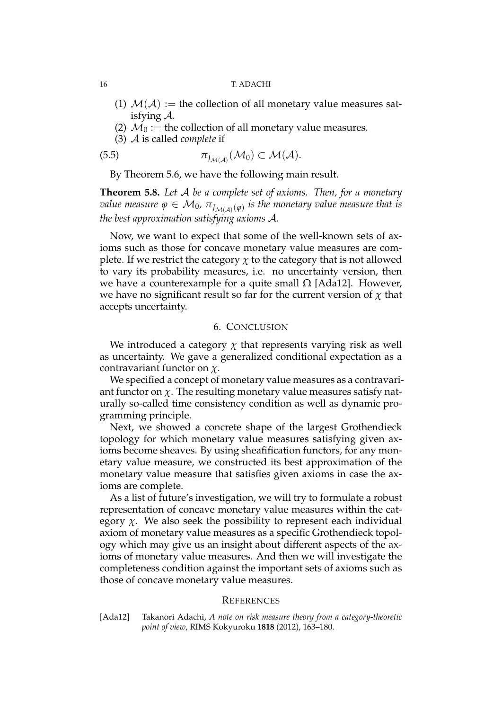- (1)  $M(A) :=$  the collection of all monetary value measures satisfying *A*.
- (2)  $\mathcal{M}_0$  := the collection of all monetary value measures.
- (3) *A* is called *complete* if

$$
\pi_{J_{\mathcal{M}(\mathcal{A})}}(\mathcal{M}_0) \subset \mathcal{M}(\mathcal{A}).
$$

By Theorem 5.6, we have the following main result.

**Theorem 5.8.** *Let A be a complete set of axioms. Then, for a monetary*  $v$ alue measure  $\varphi \in \mathcal{M}_0$ ,  $\pi_{\overline{J}_{\mathcal{M}(\mathcal{A})}(\varphi)}$  is the monetary  $v$ alue measure that is *the best approximation satisfying axioms A.*

Now, we want to expect that some of the well-known sets of axioms such as those for concave monetary value measures are complete. If we restrict the category  $\chi$  to the category that is not allowed to vary its probability measures, i.e. no uncertainty version, then we have a counterexample for a quite small  $Ω$  [Ada12]. However, we have no significant result so far for the current version of  $\chi$  that accepts uncertainty.

# 6. CONCLUSION

We introduced a category  $\chi$  that represents varying risk as well as uncertainty. We gave a generalized conditional expectation as a contravariant functor on *χ*.

We specified a concept of monetary value measures as a contravariant functor on  $\chi$ . The resulting monetary value measures satisfy naturally so-called time consistency condition as well as dynamic programming principle.

Next, we showed a concrete shape of the largest Grothendieck topology for which monetary value measures satisfying given axioms become sheaves. By using sheafification functors, for any monetary value measure, we constructed its best approximation of the monetary value measure that satisfies given axioms in case the axioms are complete.

As a list of future's investigation, we will try to formulate a robust representation of concave monetary value measures within the category  $\chi$ . We also seek the possibility to represent each individual axiom of monetary value measures as a specific Grothendieck topology which may give us an insight about different aspects of the axioms of monetary value measures. And then we will investigate the completeness condition against the important sets of axioms such as those of concave monetary value measures.

### **REFERENCES**

[Ada12] Takanori Adachi, *A note on risk measure theory from a category-theoretic point of view*, RIMS Kokyuroku **1818** (2012), 163–180.